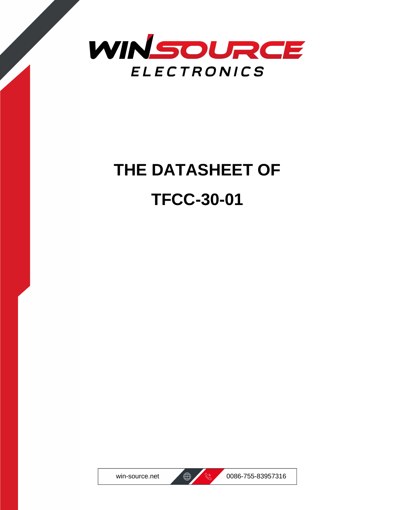

## **THE DATASHEET OF TFCC-30-01**





win-source.net  $\bigoplus$  8 0086-755-83957316